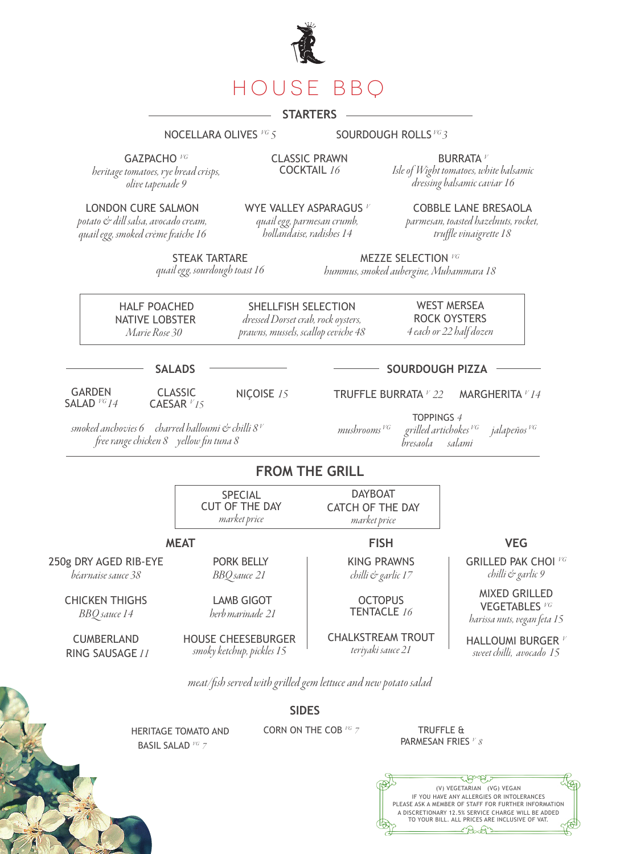

# **STARTERS**

#### NOCELLARA OLIVES *VG 5* SOURDOUGH ROLLS *VG 3*

GAZPACHO *VG*

*heritage tomatoes, rye bread crisps, olive tapenade 9*

CLASSIC PRAWN COCKTAIL *16*

BURRATA *<sup>V</sup> Isle of Wight tomatoes, white balsamic dressing balsamic caviar 16*

LONDON CURE SALMON

*potato & dill salsa, avocado cream, quail egg, smoked crème fraîche 16*  WYE VALLEY ASPARAGUS *<sup>V</sup>*

*quail egg, parmesan crumb, hollandaise, radishes 14*

COBBLE LANE BRESAOLA *parmesan, toasted hazelnuts, rocket, truffle vinaigrette 18*

STEAK TARTARE *quail egg, sourdough toast 16*

MEZZE SELECTION *VG hummus, smoked aubergine, Muhammara 18*

 HALF POACHED NATIVE LOBSTER *Marie Rose 30*

SHELLFISH SELECTION *dressed Dorset crab, rock oysters, prawns, mussels, scallop ceviche 48*

WEST MERSEA ROCK OYSTERS *4 each or 22 half dozen*

**SALADS**

GARDEN SALAD *VG 14*  CLASSIC NIÇOISE *15* TRUFFLE BURRATA *<sup>V</sup> 22* MARGHERITA *<sup>V</sup> 14* 

TOPPINGS *4 mushrooms VG grilled artichokes VG jalapeños VG bresaola* 

**SOURDOUGH PIZZA**

## **FROM THE GRILL**

**SPECIAL** CUT OF THE DAY *market price* DAYBOAT CATCH OF THE DAY *market price*

### **MEAT FISH**

250g DRY AGED RIB-EYE *béarnaise sauce 38*

> CHICKEN THIGHS *BBQ sauce 14*

**CUMBERLAND** RING SAUSAGE *11*

HOUSE CHEESEBURGER *smoky ketchup, pickles 15*

PORK BELLY *BBQ sauce 21*

LAMB GIGOT *herb marinade 21*

CHALKSTREAM TROUT

KING PRAWNS *chilli & garlic 17*

**OCTOPUS** TENTACLE *16*

*teriyaki sauce 21*

**VEG**

GRILLED PAK CHOI *VG chilli & garlic 9*

MIXED GRILLED VEGETABLES *VG harissa nuts, vegan feta 15*

HALLOUMI BURGER *<sup>V</sup> sweet chilli, avocado 15*

*meat/fish served with grilled gem lettuce and new potato salad*

**SIDES**

 HERITAGE TOMATO AND BASIL SALAD *VG 7* 

CORN ON THE COB <sup>VG</sup> 7 **TRUFFLE &** 

PARMESAN FRIES *V 8*



CAESAR *V 15*

 *smoked anchovies 6 charred halloumi & chilli 8 V free range chicken 8 yellow fin tuna 8*